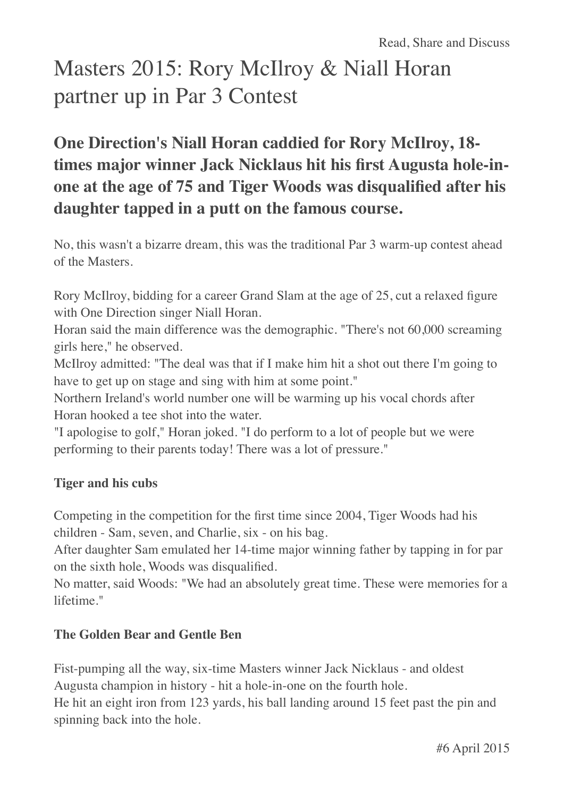# Masters 2015: Rory McIlroy & Niall Horan partner up in Par 3 Contest

# **One Direction's Niall Horan caddied for Rory McIlroy, 18 times major winner Jack Nicklaus hit his first Augusta hole-inone at the age of 75 and Tiger Woods was disqualified after his daughter tapped in a putt on the famous course.**

No, this wasn't a bizarre dream, this was the traditional Par 3 warm-up contest ahead of the Masters.

Rory McIlroy, bidding for a career Grand Slam at the age of 25, cut a relaxed figure with One Direction singer Niall Horan.

Horan said the main difference was the demographic. "There's not 60,000 screaming girls here," he observed.

McIlroy admitted: "The deal was that if I make him hit a shot out there I'm going to have to get up on stage and sing with him at some point."

Northern Ireland's world number one will be warming up his vocal chords after Horan hooked a tee shot into the water.

"I apologise to golf," Horan joked. "I do perform to a lot of people but we were performing to their parents today! There was a lot of pressure."

## **Tiger and his cubs**

Competing in the competition for the first time since 2004, Tiger Woods had his children - Sam, seven, and Charlie, six - on his bag.

After daughter Sam emulated her 14-time major winning father by tapping in for par on the sixth hole, Woods was disqualified.

No matter, said Woods: "We had an absolutely great time. These were memories for a lifetime."

### **The Golden Bear and Gentle Ben**

Fist-pumping all the way, six-time Masters winner Jack Nicklaus - and oldest Augusta champion in history - hit a hole-in-one on the fourth hole. He hit an eight iron from 123 yards, his ball landing around 15 feet past the pin and spinning back into the hole.